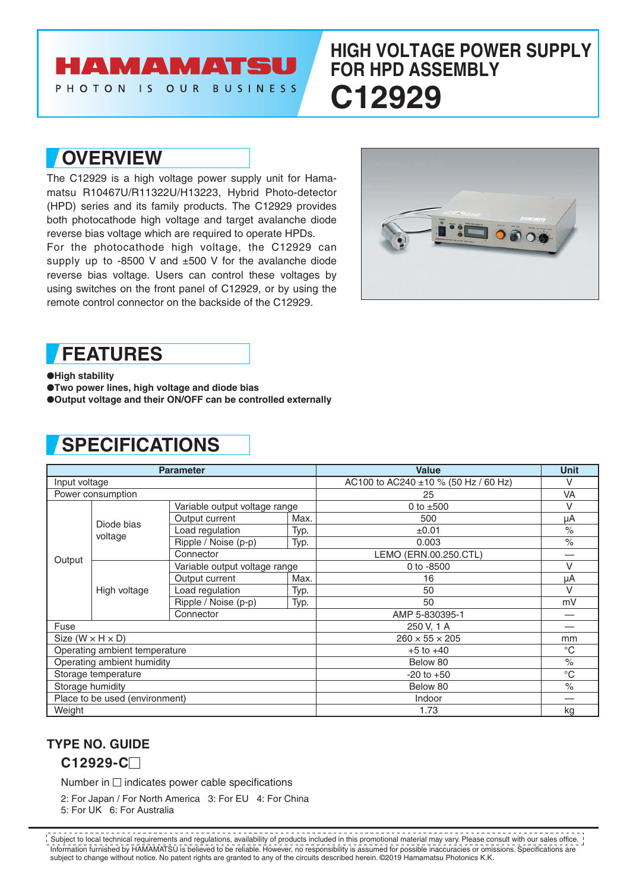# **AMAMATSU**

PHOTON IS OUR BUSINESS

## **HIGH VOLTAGE POWER SUPPLY FOR HPD ASSEMBLY C12929**

### **OVERVIEW**

The C12929 is a high voltage power supply unit for Hamamatsu R10467U/R11322U/H13223, Hybrid Photo-detector (HPD) series and its family products. The C12929 provides both photocathode high voltage and target avalanche diode reverse bias voltage which are required to operate HPDs.

For the photocathode high voltage, the C12929 can supply up to  $-8500$  V and  $\pm 500$  V for the avalanche diode reverse bias voltage. Users can control these voltages by using switches on the front panel of C12929, or by using the remote control connector on the backside of the C12929.



#### **FEATURES**

●**High stability**

●**Two power lines, high voltage and diode bias**

●**Output voltage and their ON/OFF can be controlled externally**

# **SPECIFICATIONS**

| <b>Parameter</b>                                                                                                   |                       |                               |                            | <b>Value</b>                         | <b>Unit</b>          |
|--------------------------------------------------------------------------------------------------------------------|-----------------------|-------------------------------|----------------------------|--------------------------------------|----------------------|
| Input voltage                                                                                                      |                       |                               |                            | AC100 to AC240 ±10 % (50 Hz / 60 Hz) | V                    |
| Power consumption                                                                                                  |                       |                               |                            | 25                                   | VA                   |
| Output                                                                                                             | Diode bias<br>voltage | Variable output voltage range |                            | 0 to $±500$                          | $\vee$               |
|                                                                                                                    |                       | Output current                | Max.                       | 500                                  | μA                   |
|                                                                                                                    |                       | Load regulation               | Typ.                       | ±0.01                                | $\frac{1}{\sqrt{2}}$ |
|                                                                                                                    |                       | Ripple / Noise (p-p)          | Typ.                       | 0.003                                | $\frac{0}{0}$        |
|                                                                                                                    |                       | Connector                     |                            | LEMO (ERN.00.250.CTL)                |                      |
|                                                                                                                    | High voltage          | Variable output voltage range |                            | 0 to -8500                           | $\vee$               |
|                                                                                                                    |                       | Output current                | Max.                       | 16                                   | μA                   |
|                                                                                                                    |                       | Load regulation               | Typ.                       | 50                                   | v                    |
|                                                                                                                    |                       | Ripple / Noise (p-p)          | Typ.                       | 50                                   | mV                   |
|                                                                                                                    |                       | Connector                     |                            | AMP 5-830395-1                       |                      |
| Fuse                                                                                                               |                       |                               |                            | 250 V, 1 A                           |                      |
| Size $(W \times H \times D)$<br>Operating ambient temperature<br>Operating ambient humidity<br>Storage temperature |                       |                               | $260 \times 55 \times 205$ | mm                                   |                      |
|                                                                                                                    |                       |                               |                            | $+5$ to $+40$                        | $^{\circ}C$          |
|                                                                                                                    |                       |                               |                            | Below 80                             | $\frac{1}{\sqrt{2}}$ |
|                                                                                                                    |                       |                               |                            | $-20$ to $+50$                       | $^{\circ}C$          |
| Storage humidity                                                                                                   |                       |                               |                            | Below 80                             | $\frac{1}{\sqrt{2}}$ |
| Place to be used (environment)                                                                                     |                       |                               |                            | Indoor                               |                      |
| Weight                                                                                                             |                       |                               |                            | 1.73                                 | kg                   |

#### **TYPE NO. GUIDE**

**C12929-C**

Number in  $\square$  indicates power cable specifications

2: For Japan / For North America 3: For EU 4: For China 5: For UK 6: For Australia

Information furnished by HAMAMATSU is believed to be reliable. However, no responsibility is assumed for possible inaccuracies or omissions. Specifications are subject to change without notice. No patent rights are granted to any of the circuits described herein. ©2019 Hamamatsu Photonics K.K. Subject to local technical requirements and regulations, availability of products included in this promotional material may vary. Please consult with our sales office.